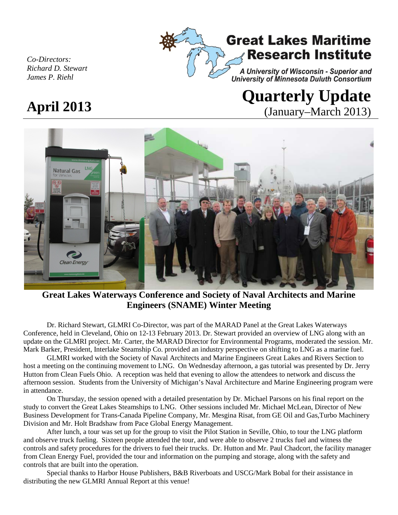

### *Co-Directors: Richard D. Stewart James P. Riehl*

# **April <sup>2013</sup> Quarterly Update**  (January–March 2013)

# **Natural Gas** Clean Energy

# **Great Lakes Waterways Conference and Society of Naval Architects and Marine Engineers (SNAME) Winter Meeting**

Dr. Richard Stewart, GLMRI Co-Director, was part of the MARAD Panel at the Great Lakes Waterways Conference, held in Cleveland, Ohio on 12-13 February 2013. Dr. Stewart provided an overview of LNG along with an update on the GLMRI project. Mr. Carter, the MARAD Director for Environmental Programs, moderated the session. Mr. Mark Barker, President, Interlake Steamship Co. provided an industry perspective on shifting to LNG as a marine fuel.

GLMRI worked with the Society of Naval Architects and Marine Engineers Great Lakes and Rivers Section to host a meeting on the continuing movement to LNG. On Wednesday afternoon, a gas tutorial was presented by Dr. Jerry Hutton from Clean Fuels Ohio. A reception was held that evening to allow the attendees to network and discuss the afternoon session. Students from the University of Michigan's Naval Architecture and Marine Engineering program were in attendance.

On Thursday, the session opened with a detailed presentation by Dr. Michael Parsons on his final report on the study to convert the Great Lakes Steamships to LNG. Other sessions included Mr. Michael McLean, Director of New Business Development for Trans-Canada Pipeline Company, Mr. Mesgina Risat, from GE Oil and Gas,Turbo Machinery Division and Mr. Holt Bradshaw from Pace Global Energy Management.

After lunch, a tour was set up for the group to visit the Pilot Station in Seville, Ohio, to tour the LNG platform and observe truck fueling. Sixteen people attended the tour, and were able to observe 2 trucks fuel and witness the controls and safety procedures for the drivers to fuel their trucks. Dr. Hutton and Mr. Paul Chadcort, the facility manager from Clean Energy Fuel, provided the tour and information on the pumping and storage, along with the safety and controls that are built into the operation.

Special thanks to Harbor House Publishers, B&B Riverboats and USCG/Mark Bobal for their assistance in distributing the new GLMRI Annual Report at this venue!